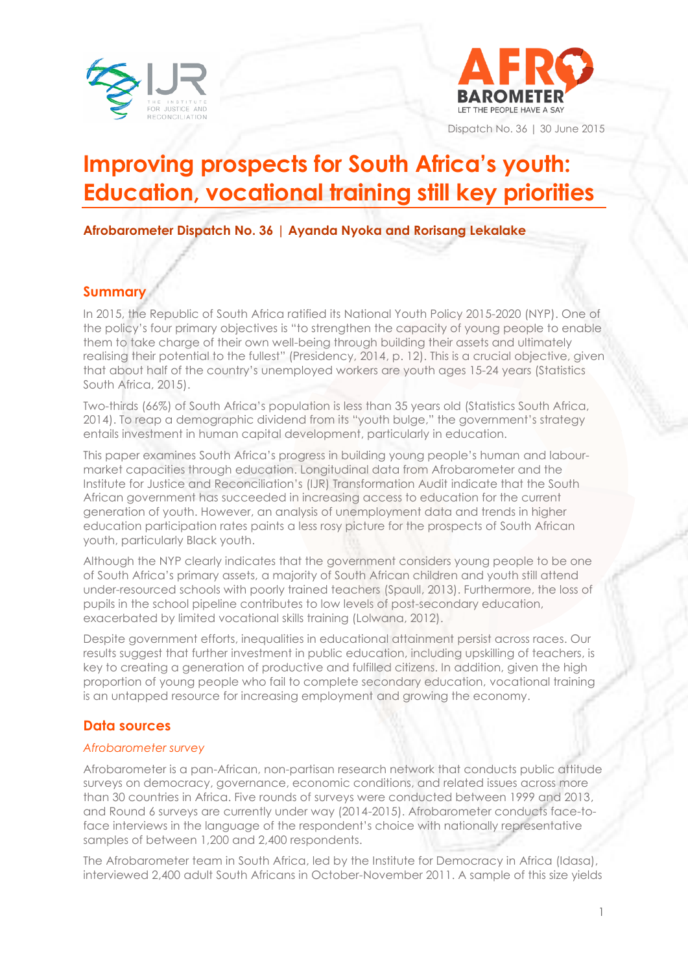



Dispatch No. 36 | 30 June 2015

# **Improving prospects for South Africa's youth: Education, vocational training still key priorities**

**Afrobarometer Dispatch No. 36 | Ayanda Nyoka and Rorisang Lekalake**

# **Summary**

In 2015, the Republic of South Africa ratified its National Youth Policy 2015-2020 (NYP). One of the policy's four primary objectives is "to strengthen the capacity of young people to enable them to take charge of their own well-being through building their assets and ultimately realising their potential to the fullest" (Presidency, 2014, p. 12). This is a crucial objective, given that about half of the country's unemployed workers are youth ages 15-24 years (Statistics South Africa, 2015).

Two-thirds (66%) of South Africa's population is less than 35 years old (Statistics South Africa, 2014). To reap a demographic dividend from its "youth bulge," the government's strategy entails investment in human capital development, particularly in education.

This paper examines South Africa's progress in building young people's human and labourmarket capacities through education. Longitudinal data from Afrobarometer and the Institute for Justice and Reconciliation's (IJR) Transformation Audit indicate that the South African government has succeeded in increasing access to education for the current generation of youth. However, an analysis of unemployment data and trends in higher education participation rates paints a less rosy picture for the prospects of South African youth, particularly Black youth.

Although the NYP clearly indicates that the government considers young people to be one of South Africa's primary assets, a majority of South African children and youth still attend under-resourced schools with poorly trained teachers (Spaull, 2013). Furthermore, the loss of pupils in the school pipeline contributes to low levels of post-secondary education, exacerbated by limited vocational skills training (Lolwana, 2012).

Despite government efforts, inequalities in educational attainment persist across races. Our results suggest that further investment in public education, including upskilling of teachers, is key to creating a generation of productive and fulfilled citizens. In addition, given the high proportion of young people who fail to complete secondary education, vocational training is an untapped resource for increasing employment and growing the economy.

# **Data sources**

## *Afrobarometer survey*

Afrobarometer is a pan-African, non-partisan research network that conducts public attitude surveys on democracy, governance, economic conditions, and related issues across more than 30 countries in Africa. Five rounds of surveys were conducted between 1999 and 2013, and Round 6 surveys are currently under way (2014-2015). Afrobarometer conducts face-toface interviews in the language of the respondent's choice with nationally representative samples of between 1,200 and 2,400 respondents.

The Afrobarometer team in South Africa, led by the Institute for Democracy in Africa (Idasa), interviewed 2,400 adult South Africans in October-November 2011. A sample of this size yields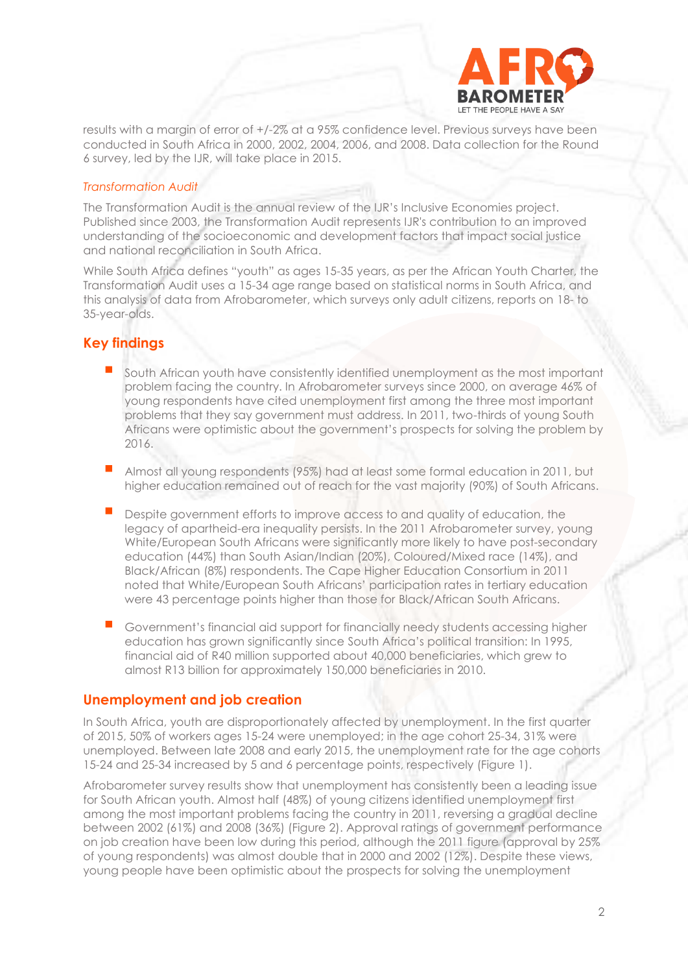

results with a margin of error of +/-2% at a 95% confidence level. Previous surveys have been conducted in South Africa in 2000, 2002, 2004, 2006, and 2008. Data collection for the Round 6 survey, led by the IJR, will take place in 2015.

### *Transformation Audit*

The Transformation Audit is the annual review of the IJR's Inclusive Economies project. Published since 2003, the Transformation Audit represents IJR's contribution to an improved understanding of the socioeconomic and development factors that impact social justice and national reconciliation in South Africa.

While South Africa defines "youth" as ages 15-35 years, as per the African Youth Charter, the Transformation Audit uses a 15-34 age range based on statistical norms in South Africa, and this analysis of data from Afrobarometer, which surveys only adult citizens, reports on 18- to 35-year-olds.

# **Key findings**

- South African youth have consistently identified unemployment as the most important problem facing the country. In Afrobarometer surveys since 2000, on average 46% of young respondents have cited unemployment first among the three most important problems that they say government must address. In 2011, two-thirds of young South Africans were optimistic about the government's prospects for solving the problem by 2016.
- Almost all young respondents (95%) had at least some formal education in 2011, but higher education remained out of reach for the vast majority (90%) of South Africans.
- Despite government efforts to improve access to and quality of education, the legacy of apartheid-era inequality persists. In the 2011 Afrobarometer survey, young White/European South Africans were significantly more likely to have post-secondary education (44%) than South Asian/Indian (20%), Coloured/Mixed race (14%), and Black/African (8%) respondents. The Cape Higher Education Consortium in 2011 noted that White/European South Africans' participation rates in tertiary education were 43 percentage points higher than those for Black/African South Africans.
- Government's financial aid support for financially needy students accessing higher education has grown significantly since South Africa's political transition: In 1995, financial aid of R40 million supported about 40,000 beneficiaries, which grew to almost R13 billion for approximately 150,000 beneficiaries in 2010.

## **Unemployment and job creation**

In South Africa, youth are disproportionately affected by unemployment. In the first quarter of 2015, 50% of workers ages 15-24 were unemployed; in the age cohort 25-34, 31% were unemployed. Between late 2008 and early 2015, the unemployment rate for the age cohorts 15-24 and 25-34 increased by 5 and 6 percentage points, respectively (Figure 1).

Afrobarometer survey results show that unemployment has consistently been a leading issue for South African youth. Almost half (48%) of young citizens identified unemployment first among the most important problems facing the country in 2011, reversing a gradual decline between 2002 (61%) and 2008 (36%) (Figure 2). Approval ratings of government performance on job creation have been low during this period, although the 2011 figure (approval by 25% of young respondents) was almost double that in 2000 and 2002 (12%). Despite these views, young people have been optimistic about the prospects for solving the unemployment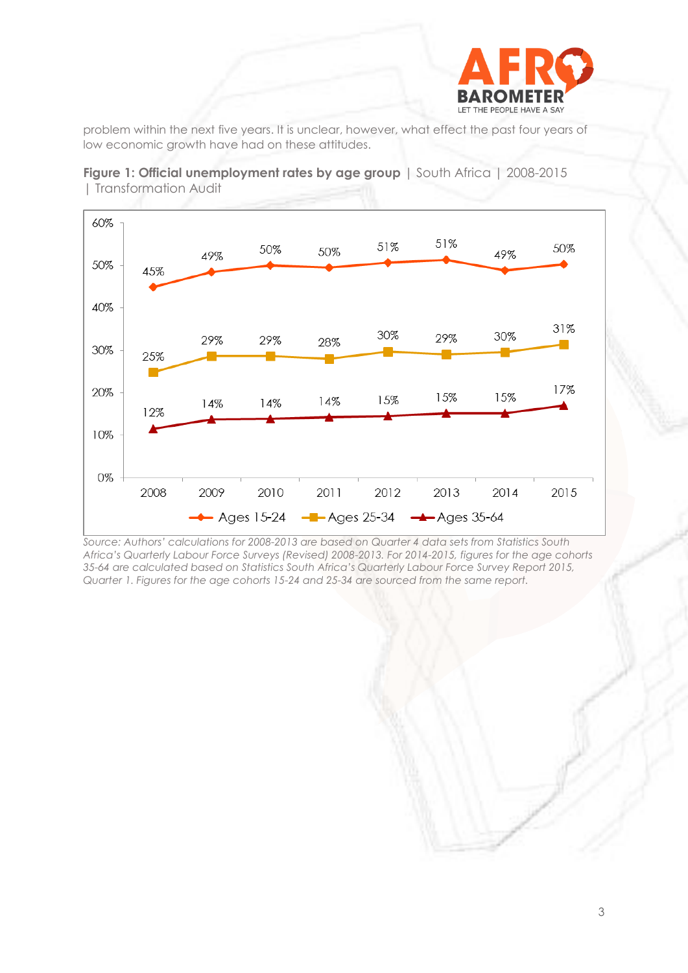

problem within the next five years. It is unclear, however, what effect the past four years of low economic growth have had on these attitudes.





*Source: Authors' calculations for 2008-2013 are based on Quarter 4 data sets from Statistics South Africa's Quarterly Labour Force Surveys (Revised) 2008-2013. For 2014-2015, figures for the age cohorts 35-64 are calculated based on Statistics South Africa's Quarterly Labour Force Survey Report 2015, Quarter 1. Figures for the age cohorts 15-24 and 25-34 are sourced from the same report.*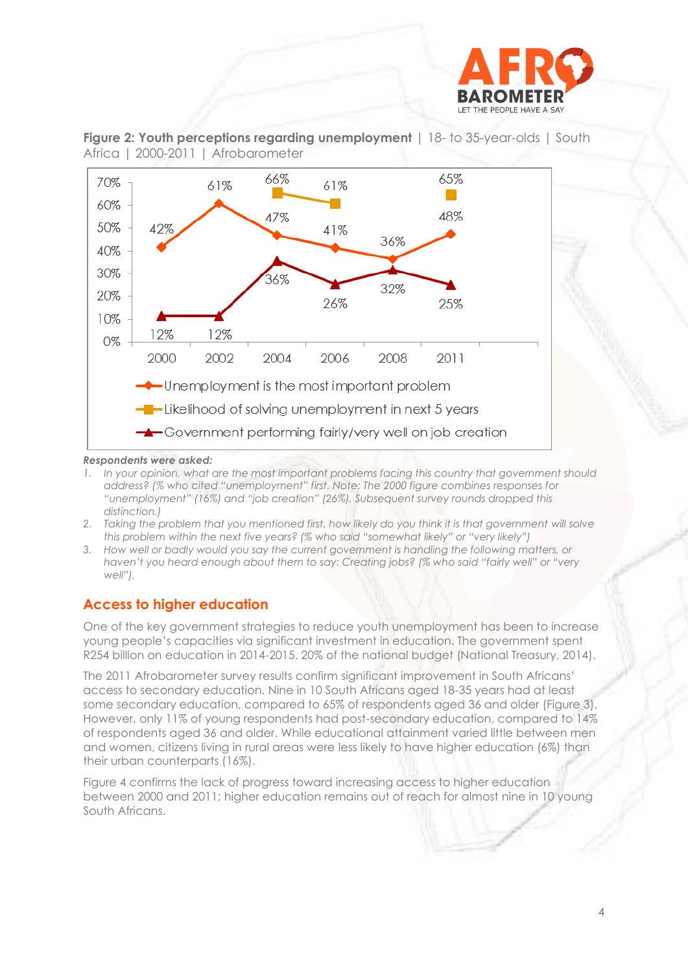





#### *Respondents were asked:*

- *1. In your opinion, what are the most important problems facing this country that government should address? (% who cited "unemployment" first. Note: The 2000 figure combines responses for "unemployment" (16%) and "job creation" (26%). Subsequent survey rounds dropped this distinction.)*
- *2. Taking the problem that you mentioned first, how likely do you think it is that government will solve this problem within the next five years? (% who said "somewhat likely" or "very likely")*
- *3. How well or badly would you say the current government is handling the following matters, or haven't you heard enough about them to say: Creating jobs? (% who said "fairly well" or "very well").*

## **Access to higher education**

One of the key government strategies to reduce youth unemployment has been to increase young people's capacities via significant investment in education. The government spent R254 billion on education in 2014-2015, 20% of the national budget (National Treasury, 2014).

The 2011 Afrobarometer survey results confirm significant improvement in South Africans' access to secondary education. Nine in 10 South Africans aged 18-35 years had at least some secondary education, compared to 65% of respondents aged 36 and older (Figure 3). However, only 11% of young respondents had post-secondary education, compared to 14% of respondents aged 36 and older. While educational attainment varied little between men and women, citizens living in rural areas were less likely to have higher education (6%) than their urban counterparts (16%).

Figure 4 confirms the lack of progress toward increasing access to higher education between 2000 and 2011; higher education remains out of reach for almost nine in 10 young South Africans.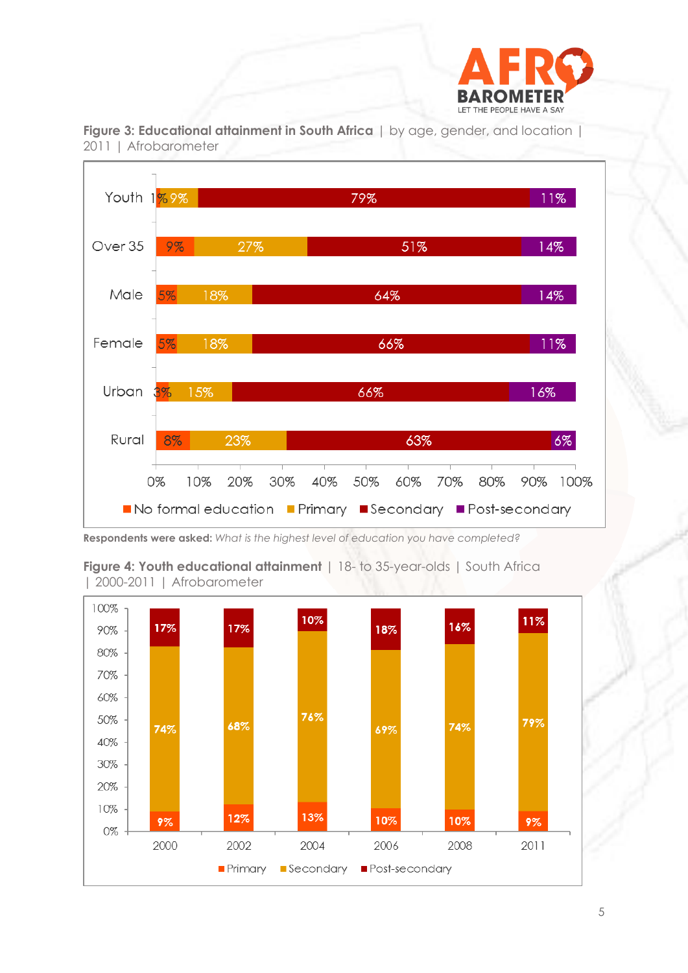





**Respondents were asked:** *What is the highest level of education you have completed?*

**Figure 4: Youth educational attainment** | 18- to 35-year-olds | South Africa | 2000-2011 | Afrobarometer

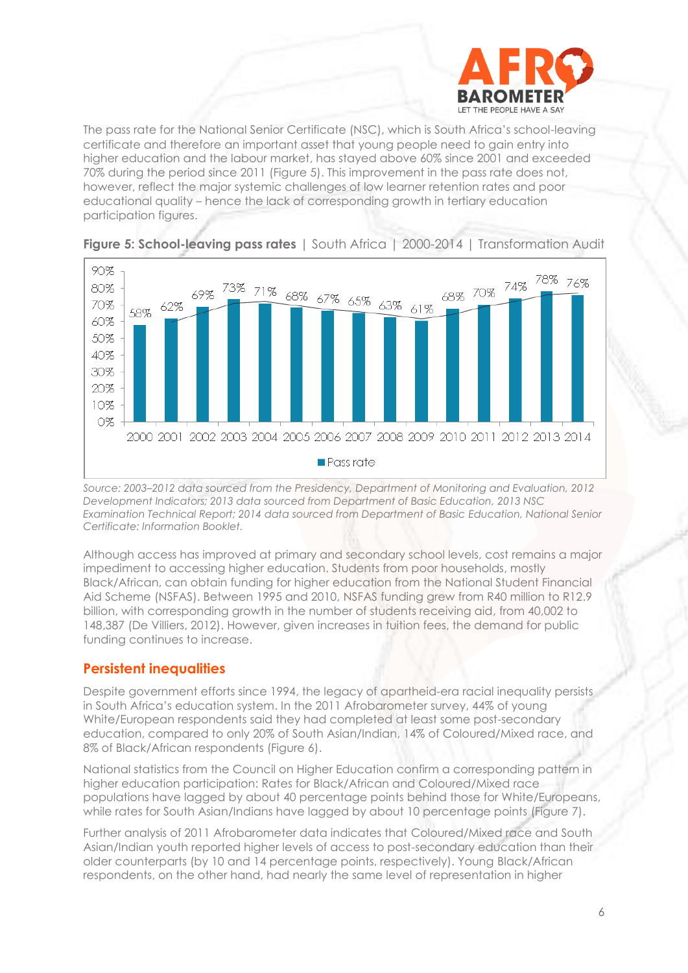

The pass rate for the National Senior Certificate (NSC), which is South Africa's school-leaving certificate and therefore an important asset that young people need to gain entry into higher education and the labour market, has stayed above 60% since 2001 and exceeded 70% during the period since 2011 (Figure 5). This improvement in the pass rate does not, however, reflect the major systemic challenges of low learner retention rates and poor educational quality – hence the lack of corresponding growth in tertiary education participation figures.



## **Figure 5: School-leaving pass rates** | South Africa | 2000-2014 | Transformation Audit

*Source: 2003–2012 data sourced from the Presidency, Department of Monitoring and Evaluation, 2012 Development Indicators; 2013 data sourced from Department of Basic Education, 2013 NSC Examination Technical Report; 2014 data sourced from Department of Basic Education, National Senior Certificate: Information Booklet.*

Although access has improved at primary and secondary school levels, cost remains a major impediment to accessing higher education. Students from poor households, mostly Black/African, can obtain funding for higher education from the National Student Financial Aid Scheme (NSFAS). Between 1995 and 2010, NSFAS funding grew from R40 million to R12.9 billion, with corresponding growth in the number of students receiving aid, from 40,002 to 148,387 (De Villiers, 2012). However, given increases in tuition fees, the demand for public funding continues to increase.

## **Persistent inequalities**

Despite government efforts since 1994, the legacy of apartheid-era racial inequality persists in South Africa's education system. In the 2011 Afrobarometer survey, 44% of young White/European respondents said they had completed at least some post-secondary education, compared to only 20% of South Asian/Indian, 14% of Coloured/Mixed race, and 8% of Black/African respondents (Figure 6).

National statistics from the Council on Higher Education confirm a corresponding pattern in higher education participation: Rates for Black/African and Coloured/Mixed race populations have lagged by about 40 percentage points behind those for White/Europeans, while rates for South Asian/Indians have lagged by about 10 percentage points (Figure 7).

Further analysis of 2011 Afrobarometer data indicates that Coloured/Mixed race and South Asian/Indian youth reported higher levels of access to post-secondary education than their older counterparts (by 10 and 14 percentage points, respectively). Young Black/African respondents, on the other hand, had nearly the same level of representation in higher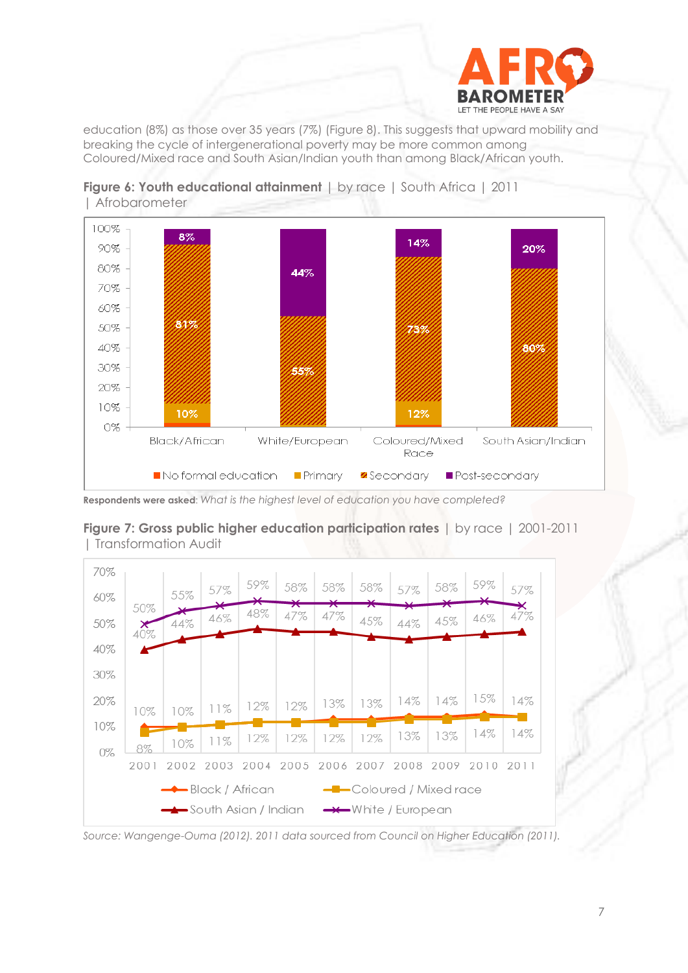

education (8%) as those over 35 years (7%) (Figure 8). This suggests that upward mobility and breaking the cycle of intergenerational poverty may be more common among Coloured/Mixed race and South Asian/Indian youth than among Black/African youth.





**Respondents were asked**: *What is the highest level of education you have completed?*



**Figure 7: Gross public higher education participation rates** | by race | 2001-2011 | Transformation Audit

*Source: Wangenge-Ouma (2012). 2011 data sourced from Council on Higher Education (2011).*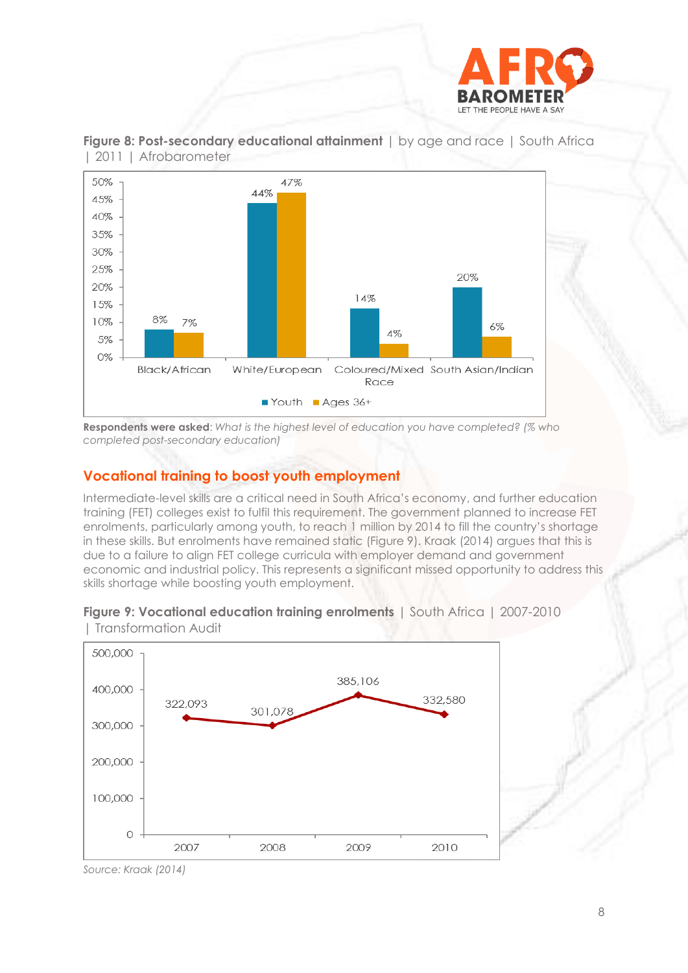



**Figure 8: Post-secondary educational attainment** | by age and race | South Africa | 2011 | Afrobarometer

**Respondents were asked**: *What is the highest level of education you have completed? (% who completed post-secondary education)*

# **Vocational training to boost youth employment**

Intermediate-level skills are a critical need in South Africa's economy, and further education training (FET) colleges exist to fulfil this requirement. The government planned to increase FET enrolments, particularly among youth, to reach 1 million by 2014 to fill the country's shortage in these skills. But enrolments have remained static (Figure 9). Kraak (2014) argues that this is due to a failure to align FET college curricula with employer demand and government economic and industrial policy. This represents a significant missed opportunity to address this skills shortage while boosting youth employment.





*Source: Kraak (2014)*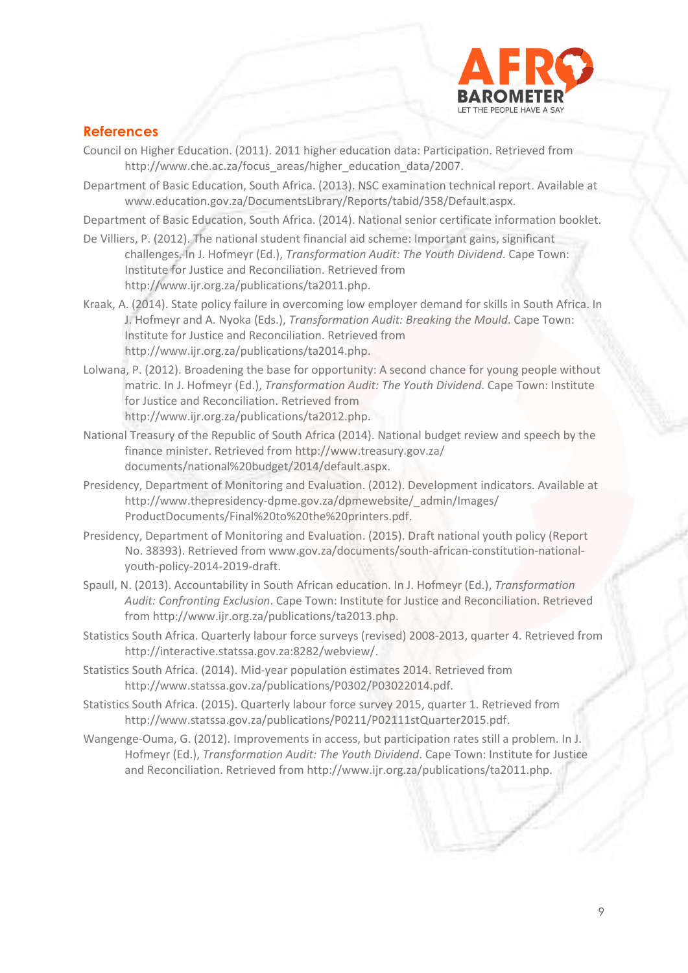

# **References**

- Council on Higher Education. (2011). 2011 higher education data: Participation. Retrieved from [http://www.che.ac.za/focus\\_areas/higher\\_education\\_data/2007.](http://www.che.ac.za/focus_areas/higher_education_data/2007)
- Department of Basic Education, South Africa. (2013). NSC examination technical report. Available at www.education.gov.za/DocumentsLibrary/Reports/tabid/358/Default.aspx.

Department of Basic Education, South Africa. (2014). National senior certificate information booklet.

- De Villiers, P. (2012). The national student financial aid scheme: Important gains, significant challenges. In J. Hofmeyr (Ed.), *Transformation Audit: The Youth Dividend*. Cape Town: Institute for Justice and Reconciliation. Retrieved from http://www.ijr.org.za/publications/ta2011.php.
- Kraak, A. (2014). State policy failure in overcoming low employer demand for skills in South Africa. In J. Hofmeyr and A. Nyoka (Eds.), *Transformation Audit: Breaking the Mould*. Cape Town: Institute for Justice and Reconciliation. Retrieved from http://www.ijr.org.za/publications/ta2014.php.
- Lolwana, P. (2012). Broadening the base for opportunity: A second chance for young people without matric. In J. Hofmeyr (Ed.), *Transformation Audit: The Youth Dividend*. Cape Town: Institute for Justice and Reconciliation. Retrieved from [http://www.ijr.org.za/publications/ta2012.php.](http://www.ijr.org.za/publications/ta2012.php)
- National Treasury of the Republic of South Africa (2014). National budget review and speech by the finance minister. Retrieved fro[m http://www.treasury.gov.za/](http://www.treasury.gov.za/%20documents/national%20budget/2014/default.aspx) [documents/national%20budget/2014/default.aspx.](http://www.treasury.gov.za/%20documents/national%20budget/2014/default.aspx)
- Presidency, Department of Monitoring and Evaluation. (2012). Development indicators. Available at [http://www.thepresidency-dpme.gov.za/dpmewebsite/\\_admin/Images/](http://www.thepresidency-dpme.gov.za/dpmewebsite/_admin/Images/) ProductDocuments/Final%20to%20the%20printers.pdf.
- Presidency, Department of Monitoring and Evaluation. (2015). Draft national youth policy (Report No. 38393). Retrieved from [www.gov.za/documents/south-african-c](http://www.gov.za/documents/south-african-)onstitution-nationalyouth-policy-2014-2019-draft.
- Spaull, N. (2013). Accountability in South African education. In J. Hofmeyr (Ed.), *Transformation Audit: Confronting Exclusion*. Cape Town: Institute for Justice and Reconciliation. Retrieved from http://www.ijr.org.za/publications/ta2013.php.
- Statistics South Africa. Quarterly labour force surveys (revised) 2008-2013, quarter 4. Retrieved from [http://interactive.statssa.gov.za:8282/webview/.](http://interactive.statssa.gov.za:8282/webview/)
- Statistics South Africa. (2014). Mid-year population estimates 2014. Retrieved from http://www.statssa.gov.za/publications/P0302/P03022014.pdf.
- Statistics South Africa. (2015). Quarterly labour force survey 2015, quarter 1. Retrieved from [http://www.statssa.gov.za/publications/P0211/P02111stQuarter2015.pdf.](http://www.statssa.gov.za/publications/P0211/P02111stQuarter2015.pdf)
- Wangenge-Ouma, G. (2012). Improvements in access, but participation rates still a problem. In J. Hofmeyr (Ed.), *Transformation Audit: The Youth Dividend*. Cape Town: Institute for Justice and Reconciliation. Retrieved fro[m http://www.ijr.org.za/publications/ta2011.php.](http://www.ijr.org.za/publications/ta2011.php)